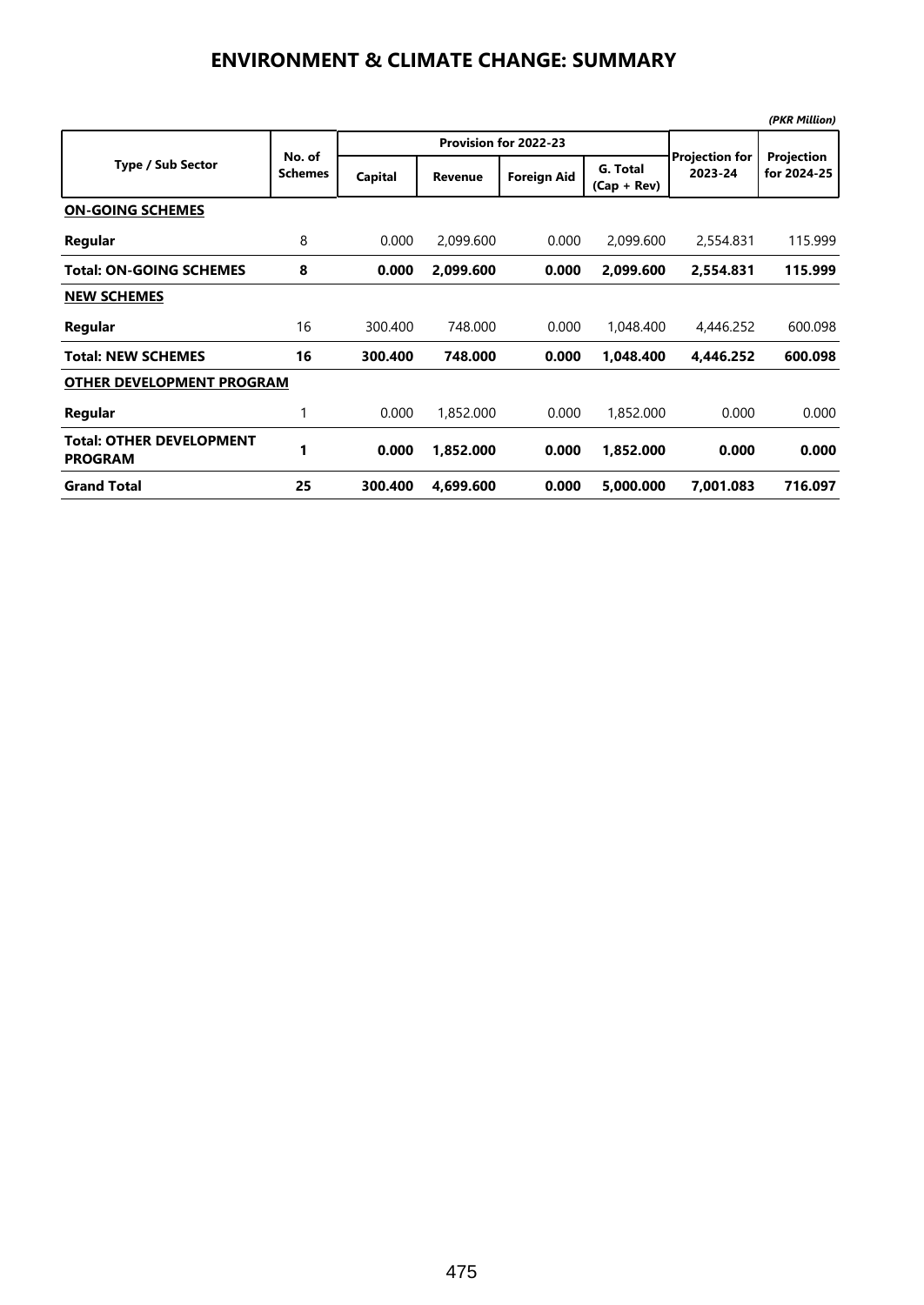## **ENVIRONMENT & CLIMATE CHANGE: SUMMARY**

|                                                   |                          |         |                       |                    |                           |                                  | (PKR Million)             |  |  |  |
|---------------------------------------------------|--------------------------|---------|-----------------------|--------------------|---------------------------|----------------------------------|---------------------------|--|--|--|
| <b>Type / Sub Sector</b>                          | No. of<br><b>Schemes</b> |         | Provision for 2022-23 |                    |                           |                                  |                           |  |  |  |
|                                                   |                          | Capital | Revenue               | <b>Foreign Aid</b> | G. Total<br>$(Cap + Rev)$ | <b>Projection for</b><br>2023-24 | Projection<br>for 2024-25 |  |  |  |
| <b>ON-GOING SCHEMES</b>                           |                          |         |                       |                    |                           |                                  |                           |  |  |  |
| Regular                                           | 8                        | 0.000   | 2,099.600             | 0.000              | 2,099.600                 | 2,554.831                        | 115.999                   |  |  |  |
| <b>Total: ON-GOING SCHEMES</b>                    | 8                        | 0.000   | 2.099.600             | 0.000              | 2,099.600                 | 2.554.831                        | 115.999                   |  |  |  |
| <b>NEW SCHEMES</b>                                |                          |         |                       |                    |                           |                                  |                           |  |  |  |
| Regular                                           | 16                       | 300.400 | 748.000               | 0.000              | 1,048,400                 | 4,446.252                        | 600.098                   |  |  |  |
| <b>Total: NEW SCHEMES</b>                         | 16                       | 300.400 | 748.000               | 0.000              | 1,048.400                 | 4,446.252                        | 600.098                   |  |  |  |
| <b>OTHER DEVELOPMENT PROGRAM</b>                  |                          |         |                       |                    |                           |                                  |                           |  |  |  |
| Regular                                           | 1                        | 0.000   | 1,852.000             | 0.000              | 1,852.000                 | 0.000                            | 0.000                     |  |  |  |
| <b>Total: OTHER DEVELOPMENT</b><br><b>PROGRAM</b> | 1                        | 0.000   | 1,852.000             | 0.000              | 1,852.000                 | 0.000                            | 0.000                     |  |  |  |
| <b>Grand Total</b>                                | 25                       | 300.400 | 4,699.600             | 0.000              | 5,000.000                 | 7,001.083                        | 716.097                   |  |  |  |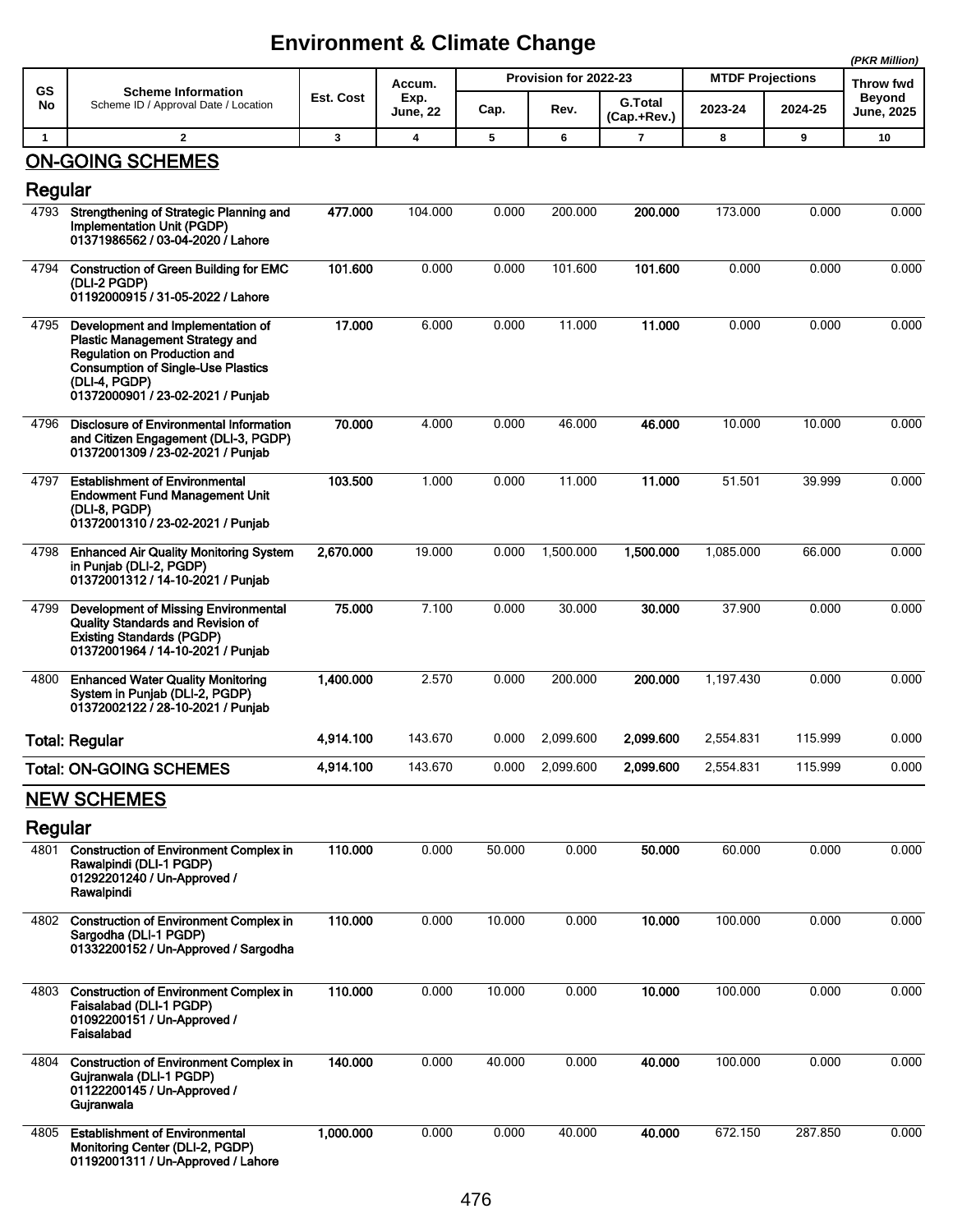## **Environment & Climate Change**

|              |                                                                                                                                                                                                                |           |                                   |                       |           |                               |                         | (PKR Million) |                             |
|--------------|----------------------------------------------------------------------------------------------------------------------------------------------------------------------------------------------------------------|-----------|-----------------------------------|-----------------------|-----------|-------------------------------|-------------------------|---------------|-----------------------------|
| GS           | <b>Scheme Information</b><br>Scheme ID / Approval Date / Location                                                                                                                                              | Est. Cost | Accum.<br>Exp.<br><b>June, 22</b> | Provision for 2022-23 |           |                               | <b>MTDF Projections</b> |               | Throw fwd                   |
| No           |                                                                                                                                                                                                                |           |                                   | Cap.                  | Rev.      | <b>G.Total</b><br>(Cap.+Rev.) | 2023-24                 | 2024-25       | Beyond<br><b>June, 2025</b> |
| $\mathbf{1}$ | $\mathbf{2}$                                                                                                                                                                                                   | 3         | 4                                 | 5                     | 6         | 7                             | 8                       | 9             | 10                          |
| Regular      | <b>ON-GOING SCHEMES</b>                                                                                                                                                                                        |           |                                   |                       |           |                               |                         |               |                             |
| 4793         | Strengthening of Strategic Planning and<br>Implementation Unit (PGDP)<br>01371986562 / 03-04-2020 / Lahore                                                                                                     | 477.000   | 104.000                           | 0.000                 | 200.000   | 200.000                       | 173.000                 | 0.000         | 0.000                       |
| 4794         | <b>Construction of Green Building for EMC</b><br>(DLI-2 PGDP)<br>01192000915 / 31-05-2022 / Lahore                                                                                                             | 101.600   | 0.000                             | 0.000                 | 101.600   | 101.600                       | 0.000                   | 0.000         | 0.000                       |
| 4795         | Development and Implementation of<br><b>Plastic Management Strategy and</b><br>Regulation on Production and<br><b>Consumption of Single-Use Plastics</b><br>(DLI-4, PGDP)<br>01372000901 / 23-02-2021 / Punjab | 17.000    | 6.000                             | 0.000                 | 11.000    | 11.000                        | 0.000                   | 0.000         | 0.000                       |
| 4796         | <b>Disclosure of Environmental Information</b><br>and Citizen Engagement (DLI-3, PGDP)<br>01372001309 / 23-02-2021 / Punjab                                                                                    | 70.000    | 4.000                             | 0.000                 | 46.000    | 46.000                        | 10.000                  | 10.000        | 0.000                       |
| 4797         | <b>Establishment of Environmental</b><br><b>Endowment Fund Management Unit</b><br>(DLI-8, PGDP)<br>01372001310 / 23-02-2021 / Punjab                                                                           | 103.500   | 1.000                             | 0.000                 | 11.000    | 11.000                        | 51.501                  | 39.999        | 0.000                       |
| 4798         | <b>Enhanced Air Quality Monitoring System</b><br>in Punjab (DLI-2, PGDP)<br>01372001312 / 14-10-2021 / Punjab                                                                                                  | 2,670.000 | 19.000                            | 0.000                 | 1,500.000 | 1,500.000                     | 1,085.000               | 66.000        | 0.000                       |
| 4799         | <b>Development of Missing Environmental</b><br><b>Quality Standards and Revision of</b><br><b>Existing Standards (PGDP)</b><br>01372001964 / 14-10-2021 / Punjab                                               | 75.000    | 7.100                             | 0.000                 | 30.000    | 30.000                        | 37.900                  | 0.000         | 0.000                       |
| 4800         | <b>Enhanced Water Quality Monitoring</b><br>System in Punjab (DLI-2, PGDP)<br>01372002122 / 28-10-2021 / Punjab                                                                                                | 1,400.000 | 2.570                             | 0.000                 | 200.000   | 200.000                       | 1.197.430               | 0.000         | 0.000                       |
|              | <b>Total: Regular</b>                                                                                                                                                                                          | 4,914.100 | 143.670                           | 0.000                 | 2,099.600 | 2,099.600                     | 2,554.831               | 115.999       | 0.000                       |
|              | <b>Total: ON-GOING SCHEMES</b>                                                                                                                                                                                 | 4.914.100 | 143.670                           | 0.000                 | 2,099.600 | 2,099.600                     | 2,554.831               | 115.999       | 0.000                       |
|              | <b>NEW SCHEMES</b>                                                                                                                                                                                             |           |                                   |                       |           |                               |                         |               |                             |
| Regular      |                                                                                                                                                                                                                |           |                                   |                       |           |                               |                         |               |                             |
| 4801         | <b>Construction of Environment Complex in</b><br>Rawalpindi (DLI-1 PGDP)<br>01292201240 / Un-Approved /<br>Rawalpindi                                                                                          | 110.000   | 0.000                             | 50.000                | 0.000     | 50.000                        | 60.000                  | 0.000         | 0.000                       |
| 4802         | <b>Construction of Environment Complex in</b><br>Sargodha (DLI-1 PGDP)<br>01332200152 / Un-Approved / Sargodha                                                                                                 | 110.000   | 0.000                             | 10.000                | 0.000     | 10.000                        | 100.000                 | 0.000         | 0.000                       |
| 4803         | <b>Construction of Environment Complex in</b><br>Faisalabad (DLI-1 PGDP)<br>01092200151 / Un-Approved /<br>Faisalabad                                                                                          | 110.000   | 0.000                             | 10.000                | 0.000     | 10.000                        | 100.000                 | 0.000         | 0.000                       |
| 4804         | <b>Construction of Environment Complex in</b><br>Gujranwala (DLI-1 PGDP)<br>01122200145 / Un-Approved /<br>Gujranwala                                                                                          | 140.000   | 0.000                             | 40.000                | 0.000     | 40.000                        | 100.000                 | 0.000         | 0.000                       |
| 4805         | <b>Establishment of Environmental</b><br>Monitoring Center (DLI-2, PGDP)<br>01192001311 / Un-Approved / Lahore                                                                                                 | 1,000.000 | 0.000                             | 0.000                 | 40.000    | 40.000                        | 672.150                 | 287.850       | 0.000                       |